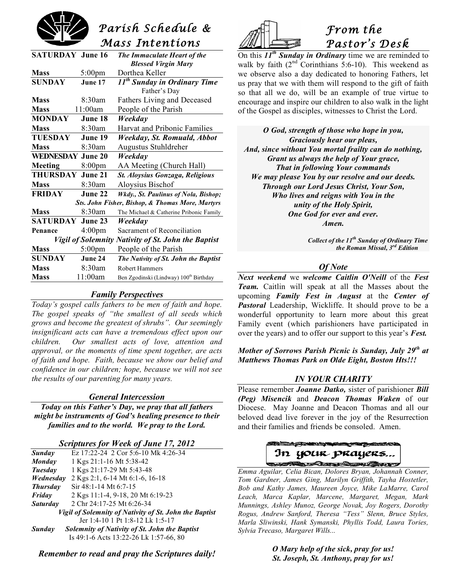

| <b>SATURDAY June 16</b>                             |                    | The Immaculate Heart of the                        |
|-----------------------------------------------------|--------------------|----------------------------------------------------|
|                                                     |                    | <b>Blessed Virgin Mary</b>                         |
| <b>Mass</b>                                         | $5:00 \text{pm}$   | Dorthea Keller                                     |
| <b>SUNDAY</b>                                       | June 17            | 11 <sup>th</sup> Sunday in Ordinary Time           |
|                                                     |                    | Father's Day                                       |
| <b>Mass</b>                                         | 8:30am             | Fathers Living and Deceased                        |
| <b>Mass</b>                                         | 11:00am            | People of the Parish                               |
| <b>MONDAY</b>                                       | June 18            | Weekday                                            |
| <b>Mass</b>                                         | 8:30am             | Harvat and Pribonic Families                       |
| <b>TUESDAY</b>                                      | June 19            | Weekday, St. Romuald, Abbot                        |
| <b>Mass</b>                                         | 8:30am             | Augustus Stuhldreher                               |
| <b>WEDNESDAY June 20</b>                            |                    | Weekday                                            |
| Meeting                                             | 8:00 <sub>pm</sub> | AA Meeting (Church Hall)                           |
| THURSDAY                                            | June 21            | St. Aloysius Gonzaga, Religious                    |
| <b>Mass</b>                                         | 8:30am             | Aloysius Bischof                                   |
| <b>FRIDAY</b>                                       | June 22            | Wkdy., St. Paulinus of Nola, Bishop;               |
| Sts. John Fisher, Bishop, & Thomas More, Martyrs    |                    |                                                    |
| <b>Mass</b>                                         | 8:30am             | The Michael & Catherine Pribonic Family            |
| <b>SATURDAY June 23</b>                             |                    | Weekday                                            |
| Penance                                             | 4:00 <sub>pm</sub> | Sacrament of Reconciliation                        |
| Vigil of Solemnity Nativity of St. John the Baptist |                    |                                                    |
| <b>Mass</b>                                         | $5:00 \text{pm}$   | People of the Parish                               |
| <b>SUNDAY</b>                                       | June 24            | The Nativity of St. John the Baptist               |
| <b>Mass</b>                                         | 8:30am             | <b>Robert Hammers</b>                              |
| <b>Mass</b>                                         | 11:00am            | Ben Zgodinski (Lindway) 100 <sup>th</sup> Birthday |
|                                                     |                    |                                                    |

## *Family Perspectives*

*Today's gospel calls fathers to be men of faith and hope. The gospel speaks of "the smallest of all seeds which grows and become the greatest of shrubs". Our seemingly insignificant acts can have a tremendous effect upon our children. Our smallest acts of love, attention and approval, or the moments of time spent together, are acts of faith and hope. Faith, because we show our belief and confidence in our children; hope, because we will not see the results of our parenting for many years.*

### *General Intercession*

*Today on this Father's Day, we pray that all fathers might be instruments of God's healing presence to their families and to the world. We pray to the Lord.*

#### *Scriptures for Week of June 17, 2012*

| Sunday                                                 | Ez 17:22-24 2 Cor 5:6-10 Mk 4:26-34           |  |
|--------------------------------------------------------|-----------------------------------------------|--|
| <b>Monday</b>                                          | 1 Kgs 21:1-16 Mt 5:38-42                      |  |
| <b>Tuesday</b>                                         | 1 Kgs 21:17-29 Mt 5:43-48                     |  |
| Wednesday                                              | 2 Kgs 2:1, 6-14 Mt 6:1-6, 16-18               |  |
| <b>Thursday</b>                                        | $Sir 48:1-14 Mt 6:7-15$                       |  |
| Friday                                                 | 2 Kgs 11:1-4, 9-18, 20 Mt 6:19-23             |  |
| <i>Saturday</i>                                        | 2 Chr 24:17-25 Mt 6:26-34                     |  |
| Vigil of Solemnity of Nativity of St. John the Baptist |                                               |  |
|                                                        | Jer 1:4-10 1 Pt 1:8-12 Lk 1:5-17              |  |
| <b>Sunday</b>                                          | Solemnity of Nativity of St. John the Baptist |  |
|                                                        | Is 49:1-6 Acts 13:22-26 Lk 1:57-66, 80        |  |

*Remember to read and pray the Scriptures daily!*



# *From the Pastor's Desk*

On this *11th Sunday in Ordinary* time we are reminded to walk by faith  $(2<sup>nd</sup>$  Corinthians 5:6-10). This weekend as we observe also a day dedicated to honoring Fathers, let us pray that we with them will respond to the gift of faith so that all we do, will be an example of true virtue to encourage and inspire our children to also walk in the light of the Gospel as disciples, witnesses to Christ the Lord.

*O God, strength of those who hope in you, Graciously hear our pleas, And, since without You mortal frailty can do nothing, Grant us always the help of Your grace, That in following Your commands We may please You by our resolve and our deeds. Through our Lord Jesus Christ, Your Son, Who lives and reigns with You in the unity of the Holy Spirit, One God for ever and ever. Amen.*

> *Collect of the 11th Sunday of Ordinary Time the Roman Missal, 3rd Edition*

### *Of Note*

*Next weekend* we *welcome Caitlin O'Neill* of the *Fest Team.* Caitlin will speak at all the Masses about the upcoming *Family Fest in August* at the *Center of Pastoral* Leadership, Wickliffe. It should prove to be a wonderful opportunity to learn more about this great Family event (which parishioners have participated in over the years) and to offer our support to this year's *Fest.*

*Mother of Sorrows Parish Picnic is Sunday, July 29th at Matthews Thomas Park on Olde Eight, Boston Hts!!!*

### *IN YOUR CHARITY*

Please remember *Joanne Datko,* sister of parishioner *Bill (Peg) Misencik* and *Deacon Thomas Waken* of our Diocese. May Joanne and Deacon Thomas and all our beloved dead live forever in the joy of the Resurrection and their families and friends be consoled. Amen.

## **The Mathematical Company of the Company of the Company of the Company of the Company of the Company of the Company of the Company of the Company of the Company of the Company of the Company of the Company of the Company o** In your prayers...

 *Emma Aguilar, Celia Bican, Dolores Bryan, Johannah Conner, Tom Gardner, James Ging, Marilyn Griffith, Tayha Hostetler, Bob and Kathy James, Maureen Joyce, Mike LaMarre, Carol Leach, Marca Kaplar, Marcene, Margaret, Megan, Mark Munnings, Ashley Munoz, George Novak, Joy Rogers, Dorothy Rogus, Andrew Sanford, Theresa "Tess" Slenn, Bruce Styles, Marla Sliwinski, Hank Symanski, Phyllis Todd, Laura Tories, Sylvia Trecaso, Margaret Wills...*

> *O Mary help of the sick, pray for us! St. Joseph, St. Anthony, pray for us!*